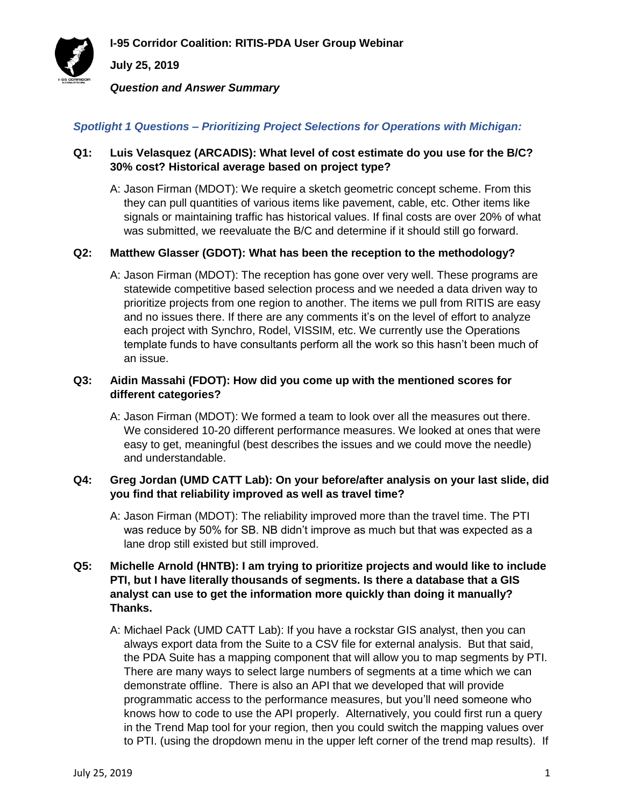**I-95 Corridor Coalition: RITIS-PDA User Group Webinar**



**July 25, 2019**

*Question and Answer Summary*

## *Spotlight 1 Questions – Prioritizing Project Selections for Operations with Michigan:*

## **Q1: Luis Velasquez (ARCADIS): What level of cost estimate do you use for the B/C? 30% cost? Historical average based on project type?**

A: Jason Firman (MDOT): We require a sketch geometric concept scheme. From this they can pull quantities of various items like pavement, cable, etc. Other items like signals or maintaining traffic has historical values. If final costs are over 20% of what was submitted, we reevaluate the B/C and determine if it should still go forward.

### **Q2: Matthew Glasser (GDOT): What has been the reception to the methodology?**

A: Jason Firman (MDOT): The reception has gone over very well. These programs are statewide competitive based selection process and we needed a data driven way to prioritize projects from one region to another. The items we pull from RITIS are easy and no issues there. If there are any comments it's on the level of effort to analyze each project with Synchro, Rodel, VISSIM, etc. We currently use the Operations template funds to have consultants perform all the work so this hasn't been much of an issue.

#### **Q3: Aidin Massahi (FDOT): How did you come up with the mentioned scores for different categories?**

A: Jason Firman (MDOT): We formed a team to look over all the measures out there. We considered 10-20 different performance measures. We looked at ones that were easy to get, meaningful (best describes the issues and we could move the needle) and understandable.

#### **Q4: Greg Jordan (UMD CATT Lab): On your before/after analysis on your last slide, did you find that reliability improved as well as travel time?**

A: Jason Firman (MDOT): The reliability improved more than the travel time. The PTI was reduce by 50% for SB. NB didn't improve as much but that was expected as a lane drop still existed but still improved.

## **Q5: Michelle Arnold (HNTB): I am trying to prioritize projects and would like to include PTI, but I have literally thousands of segments. Is there a database that a GIS analyst can use to get the information more quickly than doing it manually? Thanks.**

A: Michael Pack (UMD CATT Lab): If you have a rockstar GIS analyst, then you can always export data from the Suite to a CSV file for external analysis. But that said, the PDA Suite has a mapping component that will allow you to map segments by PTI. There are many ways to select large numbers of segments at a time which we can demonstrate offline. There is also an API that we developed that will provide programmatic access to the performance measures, but you'll need someone who knows how to code to use the API properly. Alternatively, you could first run a query in the Trend Map tool for your region, then you could switch the mapping values over to PTI. (using the dropdown menu in the upper left corner of the trend map results). If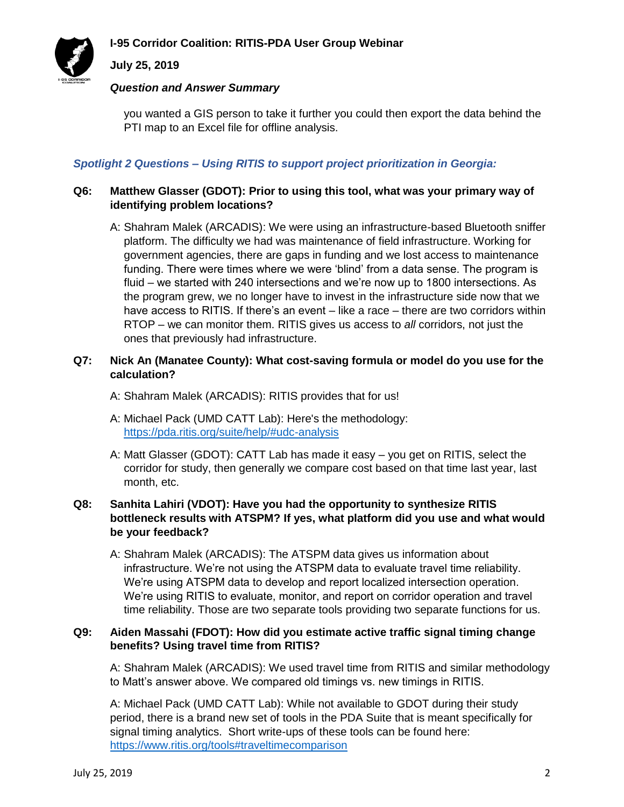## **I-95 Corridor Coalition: RITIS-PDA User Group Webinar**



#### **July 25, 2019**

#### *Question and Answer Summary*

you wanted a GIS person to take it further you could then export the data behind the PTI map to an Excel file for offline analysis.

## *Spotlight 2 Questions – Using RITIS to support project prioritization in Georgia:*

## **Q6: Matthew Glasser (GDOT): Prior to using this tool, what was your primary way of identifying problem locations?**

A: Shahram Malek (ARCADIS): We were using an infrastructure-based Bluetooth sniffer platform. The difficulty we had was maintenance of field infrastructure. Working for government agencies, there are gaps in funding and we lost access to maintenance funding. There were times where we were 'blind' from a data sense. The program is fluid – we started with 240 intersections and we're now up to 1800 intersections. As the program grew, we no longer have to invest in the infrastructure side now that we have access to RITIS. If there's an event – like a race – there are two corridors within RTOP – we can monitor them. RITIS gives us access to *all* corridors, not just the ones that previously had infrastructure.

#### **Q7: Nick An (Manatee County): What cost-saving formula or model do you use for the calculation?**

- A: Shahram Malek (ARCADIS): RITIS provides that for us!
- A: Michael Pack (UMD CATT Lab): Here's the methodology: <https://pda.ritis.org/suite/help/#udc-analysis>
- A: Matt Glasser (GDOT): CATT Lab has made it easy you get on RITIS, select the corridor for study, then generally we compare cost based on that time last year, last month, etc.

## **Q8: Sanhita Lahiri (VDOT): Have you had the opportunity to synthesize RITIS bottleneck results with ATSPM? If yes, what platform did you use and what would be your feedback?**

A: Shahram Malek (ARCADIS): The ATSPM data gives us information about infrastructure. We're not using the ATSPM data to evaluate travel time reliability. We're using ATSPM data to develop and report localized intersection operation. We're using RITIS to evaluate, monitor, and report on corridor operation and travel time reliability. Those are two separate tools providing two separate functions for us.

#### **Q9: Aiden Massahi (FDOT): How did you estimate active traffic signal timing change benefits? Using travel time from RITIS?**

A: Shahram Malek (ARCADIS): We used travel time from RITIS and similar methodology to Matt's answer above. We compared old timings vs. new timings in RITIS.

A: Michael Pack (UMD CATT Lab): While not available to GDOT during their study period, there is a brand new set of tools in the PDA Suite that is meant specifically for signal timing analytics. Short write-ups of these tools can be found here: <https://www.ritis.org/tools#traveltimecomparison>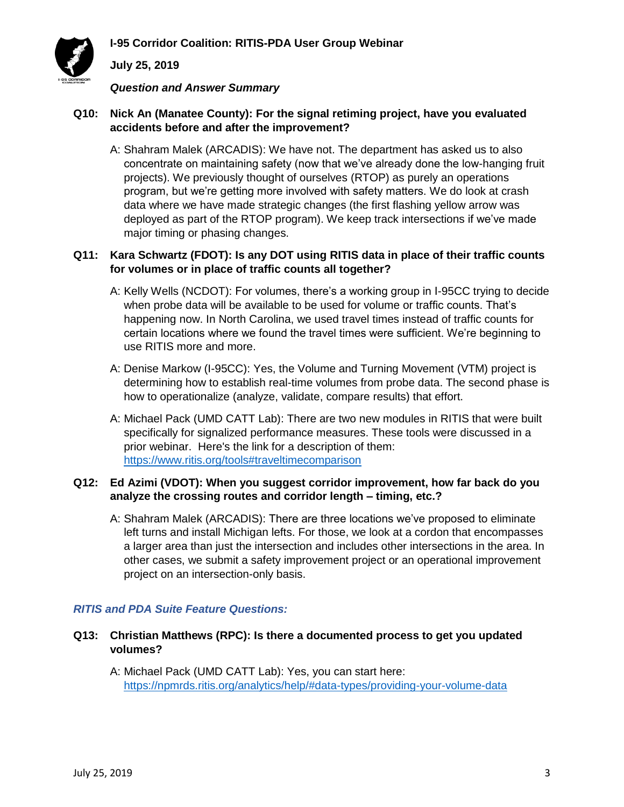# **July 25, 2019**

*Question and Answer Summary*

### **Q10: Nick An (Manatee County): For the signal retiming project, have you evaluated accidents before and after the improvement?**

A: Shahram Malek (ARCADIS): We have not. The department has asked us to also concentrate on maintaining safety (now that we've already done the low-hanging fruit projects). We previously thought of ourselves (RTOP) as purely an operations program, but we're getting more involved with safety matters. We do look at crash data where we have made strategic changes (the first flashing yellow arrow was deployed as part of the RTOP program). We keep track intersections if we've made major timing or phasing changes.

### **Q11: Kara Schwartz (FDOT): Is any DOT using RITIS data in place of their traffic counts for volumes or in place of traffic counts all together?**

- A: Kelly Wells (NCDOT): For volumes, there's a working group in I-95CC trying to decide when probe data will be available to be used for volume or traffic counts. That's happening now. In North Carolina, we used travel times instead of traffic counts for certain locations where we found the travel times were sufficient. We're beginning to use RITIS more and more.
- A: Denise Markow (I-95CC): Yes, the Volume and Turning Movement (VTM) project is determining how to establish real-time volumes from probe data. The second phase is how to operationalize (analyze, validate, compare results) that effort.
- A: Michael Pack (UMD CATT Lab): There are two new modules in RITIS that were built specifically for signalized performance measures. These tools were discussed in a prior webinar. Here's the link for a description of them: <https://www.ritis.org/tools#traveltimecomparison>

## **Q12: Ed Azimi (VDOT): When you suggest corridor improvement, how far back do you analyze the crossing routes and corridor length – timing, etc.?**

A: Shahram Malek (ARCADIS): There are three locations we've proposed to eliminate left turns and install Michigan lefts. For those, we look at a cordon that encompasses a larger area than just the intersection and includes other intersections in the area. In other cases, we submit a safety improvement project or an operational improvement project on an intersection-only basis.

# *RITIS and PDA Suite Feature Questions:*

- **Q13: Christian Matthews (RPC): Is there a documented process to get you updated volumes?**
	- A: Michael Pack (UMD CATT Lab): Yes, you can start here: <https://npmrds.ritis.org/analytics/help/#data-types/providing-your-volume-data>